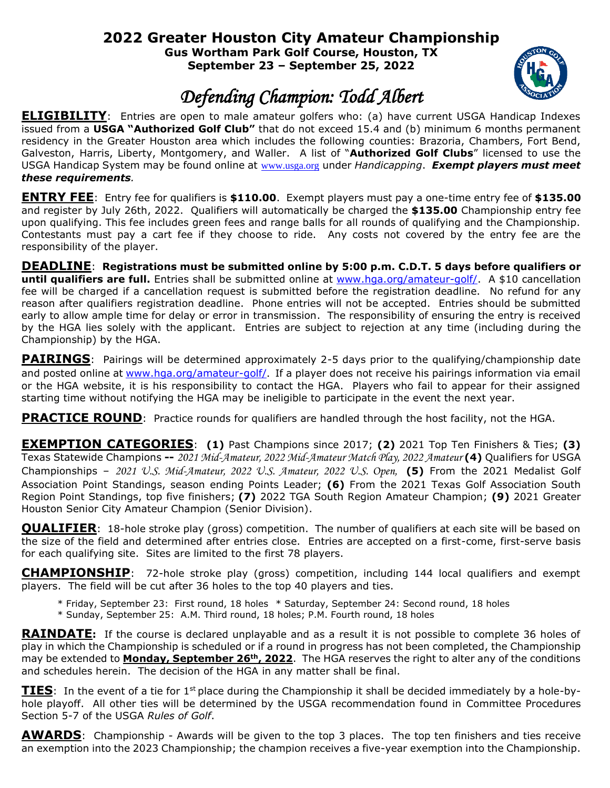## **2022 Greater Houston City Amateur Championship**

**Gus Wortham Park Golf Course, Houston, TX September 23 – September 25, 2022**



## *Defending Champion: Todd Albert*

**ELIGIBILITY**: Entries are open to male amateur golfers who: (a) have current USGA Handicap Indexes issued from a **USGA "Authorized Golf Club"** that do not exceed 15.4 and (b) minimum 6 months permanent residency in the Greater Houston area which includes the following counties: Brazoria, Chambers, Fort Bend, Galveston, Harris, Liberty, Montgomery, and Waller. A list of "**Authorized Golf Clubs**" licensed to use the USGA Handicap System may be found online at [www.usga.org](http://www.usga.org/) under *Handicapping*. *Exempt players must meet these requirements.*

**ENTRY FEE**: Entry fee for qualifiers is **\$110.00**. Exempt players must pay a one-time entry fee of **\$135.00** and register by July 26th, 2022. Qualifiers will automatically be charged the **\$135.00** Championship entry fee upon qualifying. This fee includes green fees and range balls for all rounds of qualifying and the Championship. Contestants must pay a cart fee if they choose to ride. Any costs not covered by the entry fee are the responsibility of the player.

**DEADLINE**: **Registrations must be submitted online by 5:00 p.m. C.D.T. 5 days before qualifiers or**  until qualifiers are full. Entries shall be submitted online at [www.hga.org/amateur-golf/.](http://www.hga.org/amateur-golf/) A \$10 cancellation fee will be charged if a cancellation request is submitted before the registration deadline. No refund for any reason after qualifiers registration deadline. Phone entries will not be accepted. Entries should be submitted early to allow ample time for delay or error in transmission. The responsibility of ensuring the entry is received by the HGA lies solely with the applicant. Entries are subject to rejection at any time (including during the Championship) by the HGA.

**PAIRINGS**: Pairings will be determined approximately 2-5 days prior to the qualifying/championship date and posted online at [www.hga.org/amateur-golf/](http://www.hga.org/amateur-golf/). If a player does not receive his pairings information via email or the HGA website, it is his responsibility to contact the HGA. Players who fail to appear for their assigned starting time without notifying the HGA may be ineligible to participate in the event the next year.

**PRACTICE ROUND:** Practice rounds for qualifiers are handled through the host facility, not the HGA.

**EXEMPTION CATEGORIES**: **(1)** Past Champions since 2017; **(2)** 2021 Top Ten Finishers & Ties; **(3)** Texas Statewide Champions **--** *2021 Mid-Amateur, 2022 Mid-Amateur Match Play, 2022 Amateur* **(4)** Qualifiers for USGA Championships – *2021 U.S. Mid-Amateur, 2022 U.S. Amateur, 2022 U.S. Open,* **(5)** From the 2021 Medalist Golf Association Point Standings, season ending Points Leader; **(6)** From the 2021 Texas Golf Association South Region Point Standings, top five finishers;**(7)** 2022 TGA South Region Amateur Champion; **(9)** 2021 Greater Houston Senior City Amateur Champion (Senior Division).

**QUALIFIER**: 18-hole stroke play (gross) competition. The number of qualifiers at each site will be based on the size of the field and determined after entries close. Entries are accepted on a first-come, first-serve basis for each qualifying site. Sites are limited to the first 78 players.

**CHAMPIONSHIP**: 72-hole stroke play (gross) competition, including 144 local qualifiers and exempt players. The field will be cut after 36 holes to the top 40 players and ties.

- \* Friday, September 23: First round, 18 holes \* Saturday, September 24: Second round, 18 holes
- \* Sunday, September 25: A.M. Third round, 18 holes; P.M. Fourth round, 18 holes

**RAINDATE:** If the course is declared unplayable and as a result it is not possible to complete 36 holes of play in which the Championship is scheduled or if a round in progress has not been completed, the Championship may be extended to **Monday, September 26th , 2022**. The HGA reserves the right to alter any of the conditions and schedules herein. The decision of the HGA in any matter shall be final.

**TIES**: In the event of a tie for 1<sup>st</sup> place during the Championship it shall be decided immediately by a hole-byhole playoff. All other ties will be determined by the USGA recommendation found in Committee Procedures Section 5-7 of the USGA *Rules of Golf*.

**AWARDS**: Championship - Awards will be given to the top 3 places. The top ten finishers and ties receive an exemption into the 2023 Championship; the champion receives a five-year exemption into the Championship.